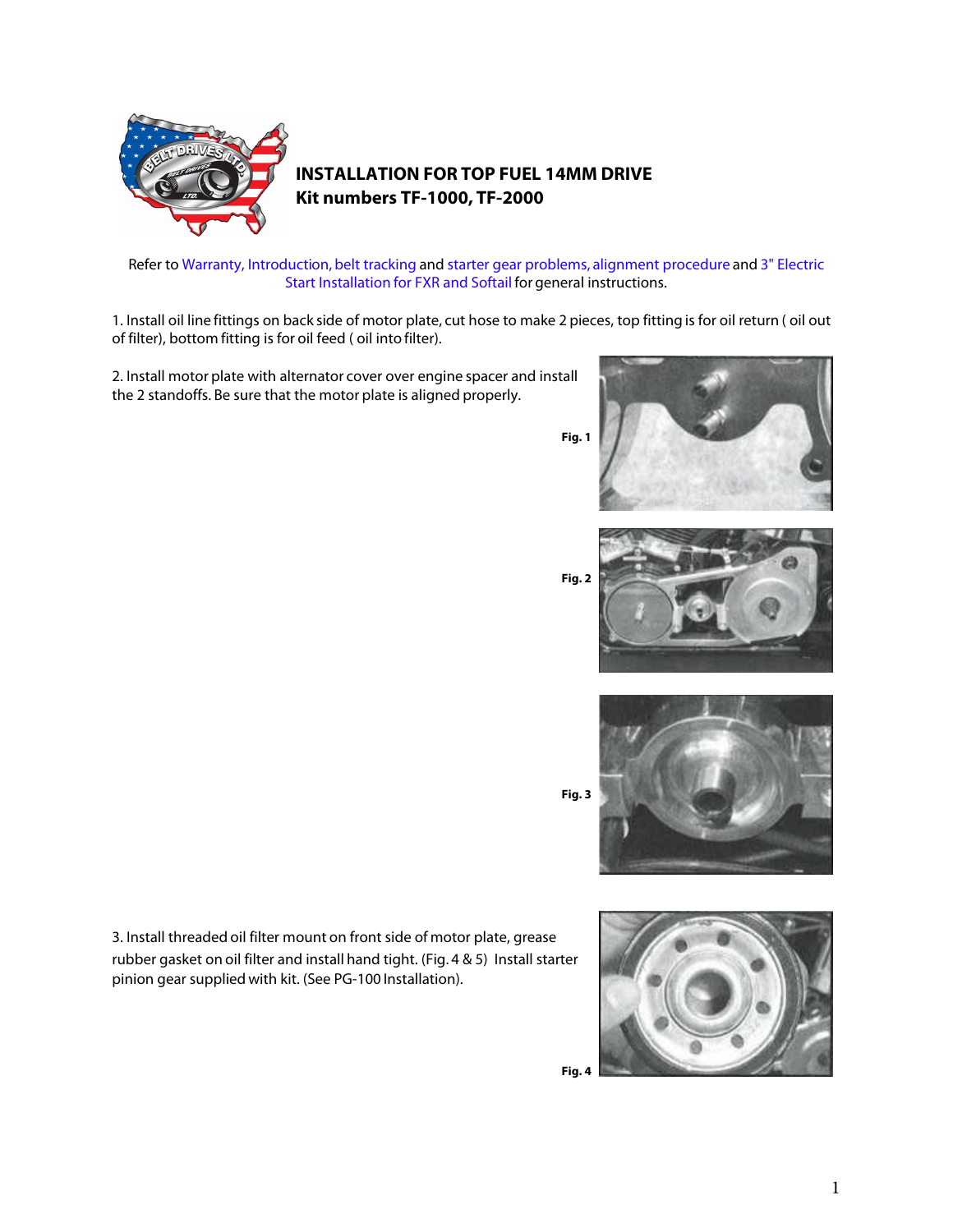

## **INSTALLATION FOR TOP FUEL 14MM DRIVE Kit numbers TF-1000, TF-2000**

## Refer to Warranty, Introduction, belt tracking and starter gear problems, alignment procedure and 3" Electric Start Installation for FXR and Softail for general instructions.

1. Install oil line fittings on back side of motor plate, cut hose to make 2 pieces, top fitting is for oil return ( oil out of filter), bottom fitting is for oil feed ( oil into filter).

2. Install motor plate with alternator cover over engine spacer and install the 2 standoffs. Be sure that the motor plate is aligned properly.



**Fig. 2**





3. Install threaded oil filter mount on front side of motor plate, grease rubber gasket on oil filter and install hand tight. (Fig. 4 & 5) Install starter pinion gear supplied with kit. (See PG-100 Installation).

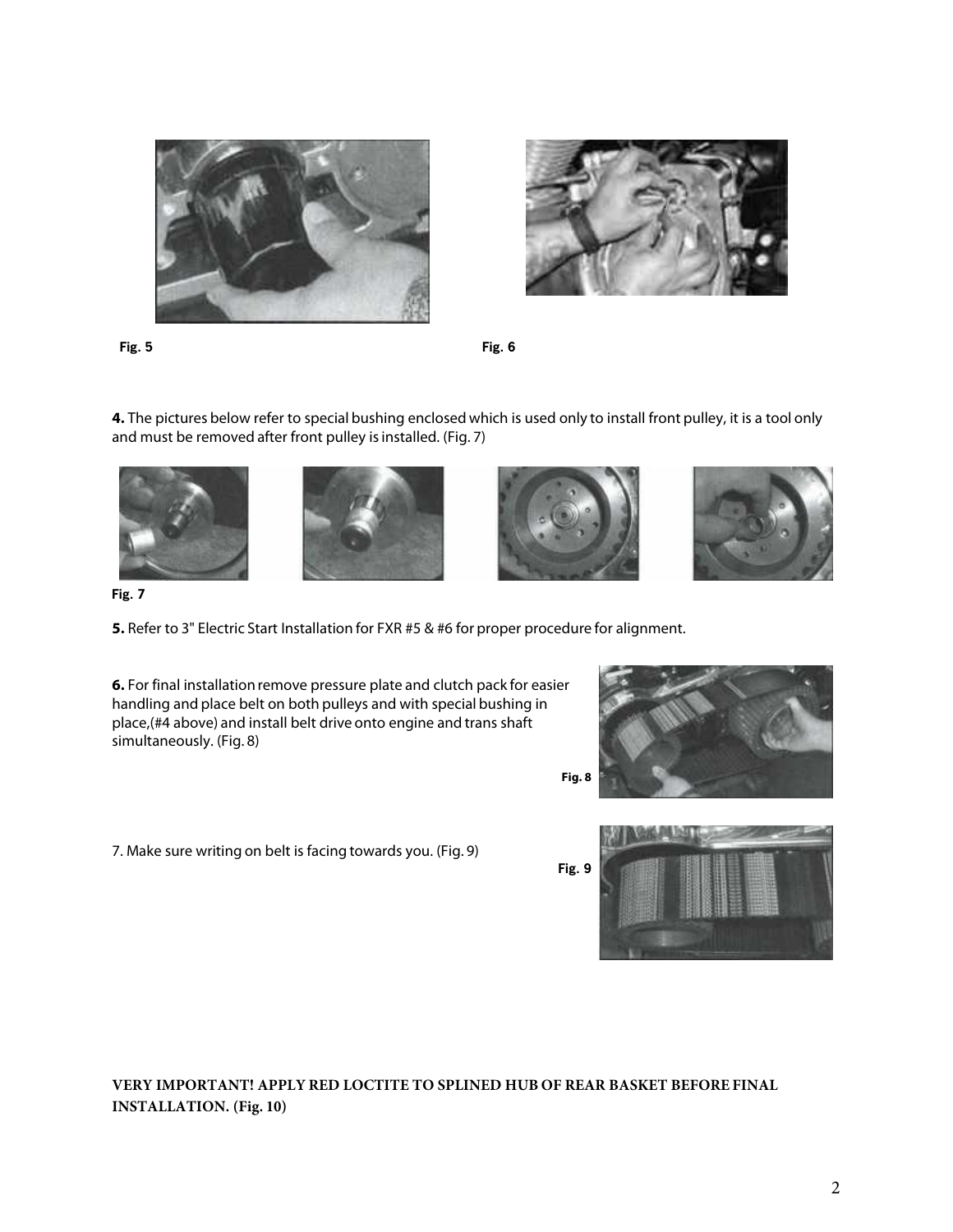



**Fig. 5 Fig. 6**

**4.** The pictures below refer to special bushing enclosed which is used only to install front pulley, it is a tool only and must be removed after front pulley is installed. (Fig. 7)









**Fig. 7**

**5.** Refer to [3" Electric Start Installation for FXR #5 & #6](http://beltdrives.com/guides-5.htm) for proper procedure for alignment.

**6.** For final installation remove pressure plate and clutch pack for easier handling and place belt on both pulleys and with special bushing in place,(#4 above) and install belt drive onto engine and trans shaft simultaneously. (Fig. 8)

7. Make sure writing on belt is facing towards you. (Fig. 9)





**VERY IMPORTANT! APPLY RED LOCTITE TO SPLINED HUB OF REAR BASKET BEFORE FINAL INSTALLATION. (Fig. 10)**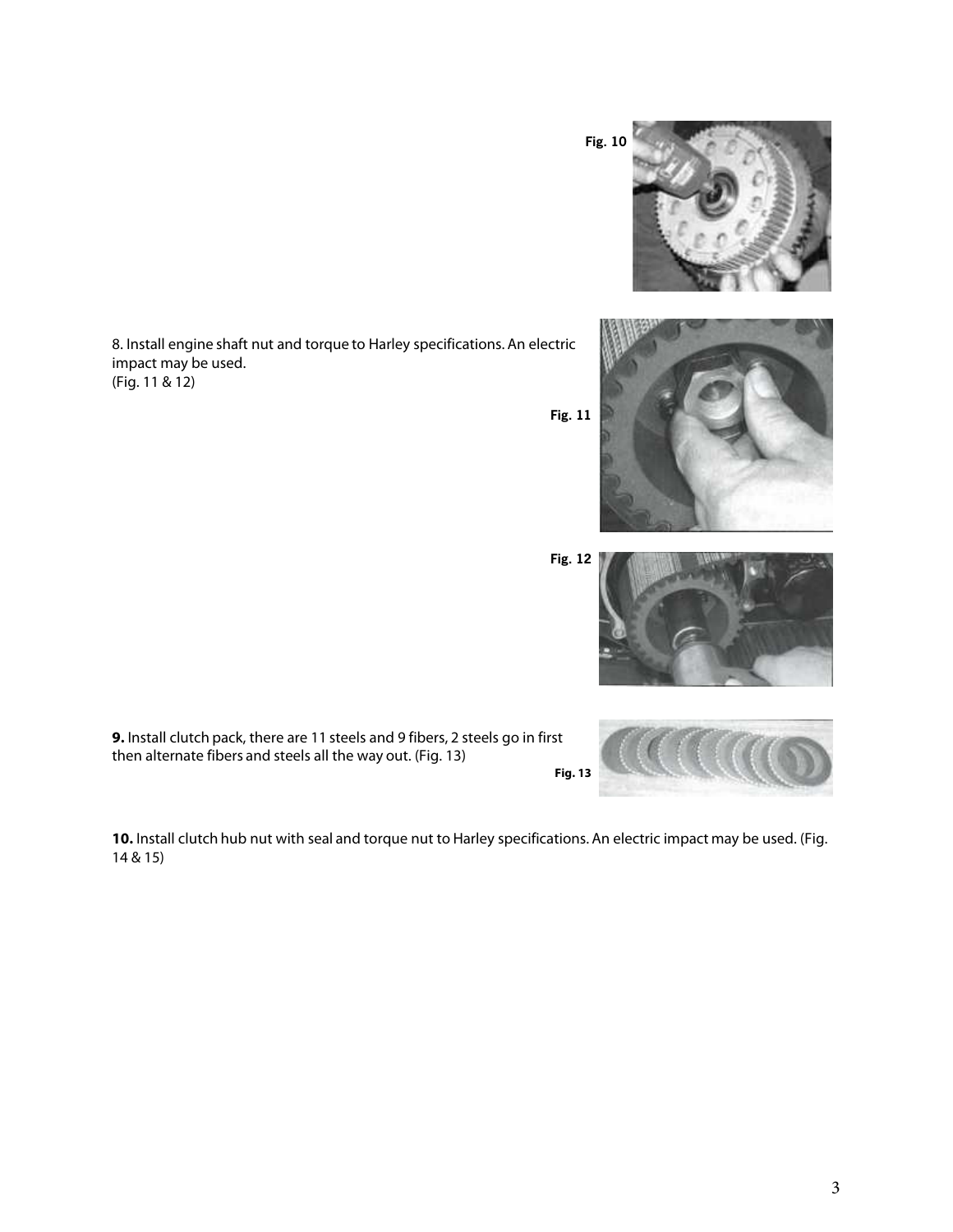3

8. Install engine shaft nut and torque to Harley specifications. An electric impact may be used. (Fig. 11 & 12)

**9.** Install clutch pack, there are 11 steels and 9 fibers, 2 steels go in first then alternate fibers and steels all the way out. (Fig. 13)

**10.** Install clutch hub nut with seal and torque nut to Harley specifications. An electric impact may be used. (Fig. 14 & 15)









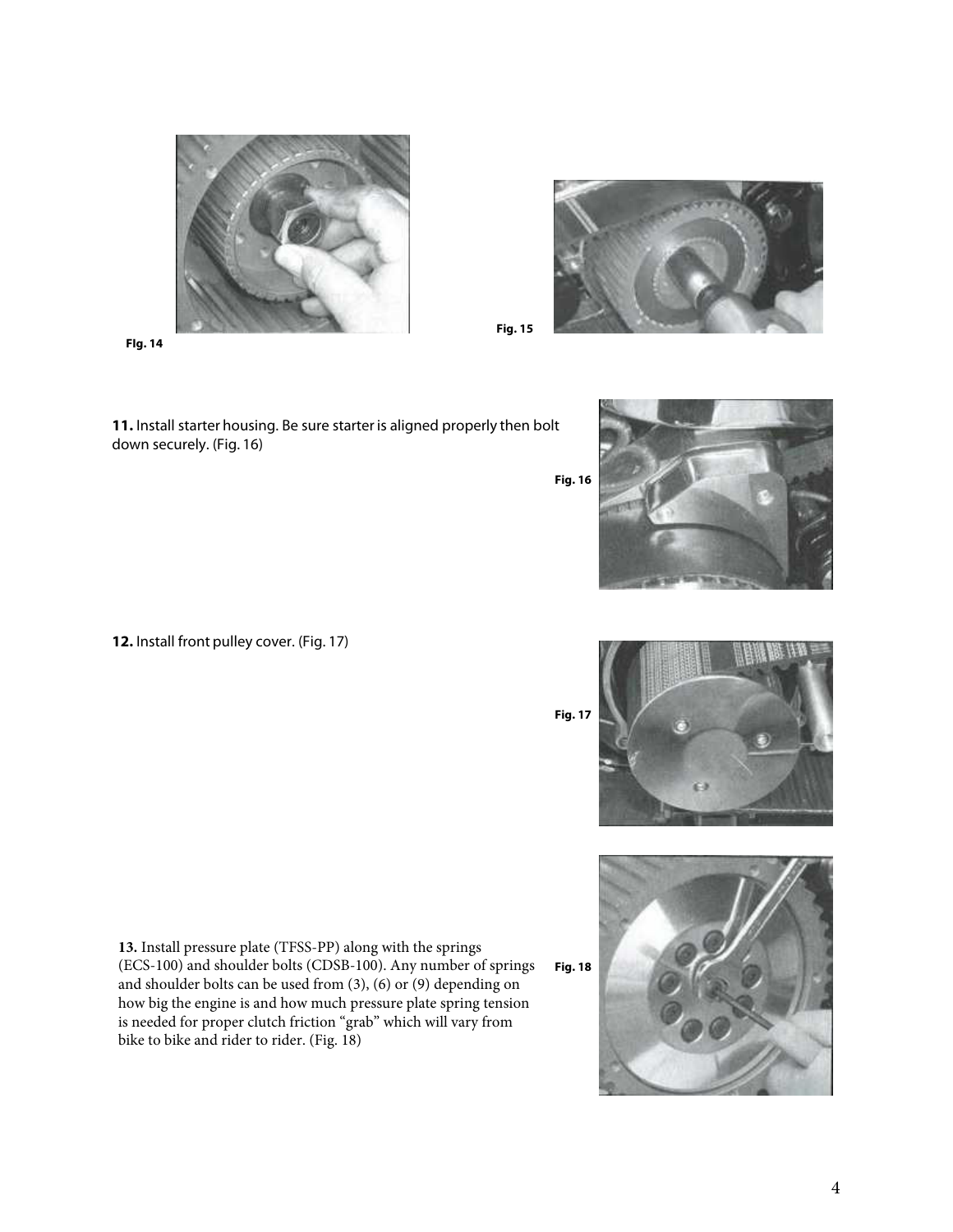

**FIg. 14**

**11.** Install starter housing. Be sure starter is aligned properly then bolt down securely. (Fig. 16)

**12.** Install front pulley cover. (Fig. 17)

**13.** Install pressure plate (TFSS-PP) along with the springs (ECS-100) and shoulder bolts (CDSB-100). Any number of springs and shoulder bolts can be used from (3), (6) or (9) depending on how big the engine is and how much pressure plate spring tension is needed for proper clutch friction "grab" which will vary from bike to bike and rider to rider. (Fig. 18)



**Fig. 15**



**Fig. 17**



4